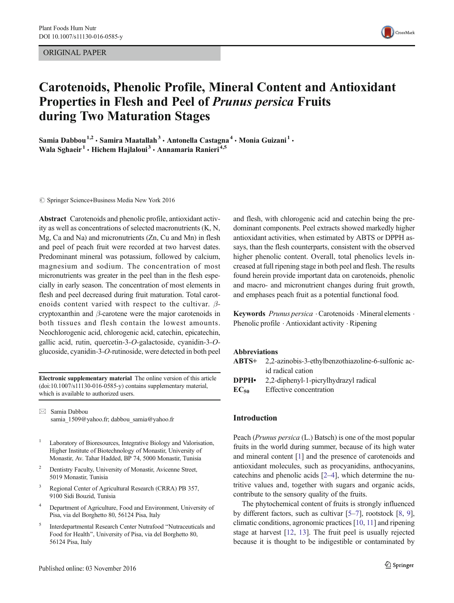ORIGINAL PAPER



# Carotenoids, Phenolic Profile, Mineral Content and Antioxidant Properties in Flesh and Peel of Prunus persica Fruits during Two Maturation Stages

Samia Dabbou<sup>1,2</sup> · Samira Maatallah<sup>3</sup> · Antonella Castagna<sup>4</sup> · Monia Guizani<sup>1</sup> · Wala Sghaeir<sup>1</sup> • Hichem Hajlaloui<sup>3</sup> • Annamaria Ranieri<sup>4,5</sup>

 $\circ$  Springer Science+Business Media New York 2016

Abstract Carotenoids and phenolic profile, antioxidant activity as well as concentrations of selected macronutrients (K, N, Mg, Ca and Na) and micronutrients (Zn, Cu and Mn) in flesh and peel of peach fruit were recorded at two harvest dates. Predominant mineral was potassium, followed by calcium, magnesium and sodium. The concentration of most micronutrients was greater in the peel than in the flesh especially in early season. The concentration of most elements in flesh and peel decreased during fruit maturation. Total carotenoids content varied with respect to the cultivar.  $\beta$ cryptoxanthin and β-carotene were the major carotenoids in both tissues and flesh contain the lowest amounts. Neochlorogenic acid, chlorogenic acid, catechin, epicatechin, gallic acid, rutin, quercetin-3-O-galactoside, cyanidin-3-Oglucoside, cyanidin-3-O-rutinoside, were detected in both peel

Electronic supplementary material The online version of this article (doi[:10.1007/s11130-016-0585-y\)](http://dx.doi.org/10.1007/s11130-016-0585-y) contains supplementary material, which is available to authorized users.

 $\boxtimes$  Samia Dabbou samia\_1509@yahoo.fr; dabbou\_samia@yahoo.fr

- <sup>1</sup> Laboratory of Bioresources, Integrative Biology and Valorisation, Higher Institute of Biotechnology of Monastir, University of Monastir, Av. Tahar Hadded, BP 74, 5000 Monastir, Tunisia
- <sup>2</sup> Dentistry Faculty, University of Monastir, Avicenne Street, 5019 Monastir, Tunisia
- <sup>3</sup> Regional Center of Agricultural Research (CRRA) PB 357, 9100 Sidi Bouzid, Tunisia
- Department of Agriculture, Food and Environment, University of Pisa, via del Borghetto 80, 56124 Pisa, Italy
- Interdepartmental Research Center Nutrafood "Nutraceuticals and Food for Health^, University of Pisa, via del Borghetto 80, 56124 Pisa, Italy

and flesh, with chlorogenic acid and catechin being the predominant components. Peel extracts showed markedly higher antioxidant activities, when estimated by ABTS or DPPH assays, than the flesh counterparts, consistent with the observed higher phenolic content. Overall, total phenolics levels increased at full ripening stage in both peel and flesh. The results found herein provide important data on carotenoids, phenolic and macro- and micronutrient changes during fruit growth, and emphases peach fruit as a potential functional food.

Keywords Prunus persica · Carotenoids · Mineral elements · Phenolic profile . Antioxidant activity . Ripening

#### Abbreviations

|           | <b>ABTS+</b> 2,2-azinobis-3-ethylbenzothiazoline-6-sulfonic ac- |
|-----------|-----------------------------------------------------------------|
|           | id radical cation                                               |
| DPPH•     | 2,2-diphenyl-1-picrylhydrazyl radical                           |
| $EC_{50}$ | Effective concentration                                         |
|           |                                                                 |

#### Introduction

Peach (Prunus persica (L.) Batsch) is one of the most popular fruits in the world during summer, because of its high water and mineral content [[1\]](#page-6-0) and the presence of carotenoids and antioxidant molecules, such as procyanidins, anthocyanins, catechins and phenolic acids [[2](#page-6-0)–[4](#page-6-0)], which determine the nutritive values and, together with sugars and organic acids, contribute to the sensory quality of the fruits.

The phytochemical content of fruits is strongly influenced by different factors, such as cultivar [[5](#page-6-0)–[7](#page-6-0)], rootstock [[8,](#page-6-0) [9\]](#page-6-0), climatic conditions, agronomic practices [[10,](#page-6-0) [11\]](#page-6-0) and ripening stage at harvest [[12,](#page-6-0) [13](#page-7-0)]. The fruit peel is usually rejected because it is thought to be indigestible or contaminated by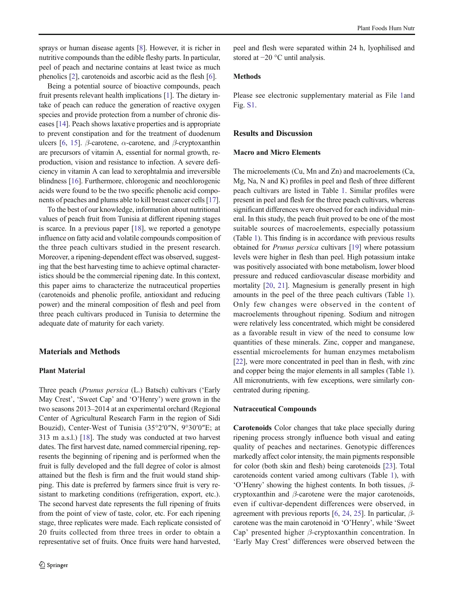sprays or human disease agents [[8\]](#page-6-0). However, it is richer in nutritive compounds than the edible fleshy parts. In particular, peel of peach and nectarine contains at least twice as much phenolics [[2\]](#page-6-0), carotenoids and ascorbic acid as the flesh [[6\]](#page-6-0).

Being a potential source of bioactive compounds, peach fruit presents relevant health implications [\[1\]](#page-6-0). The dietary intake of peach can reduce the generation of reactive oxygen species and provide protection from a number of chronic diseases [[14\]](#page-7-0). Peach shows laxative properties and is appropriate to prevent constipation and for the treatment of duodenum ulcers [\[6](#page-6-0), [15](#page-7-0)]. β-carotene,  $\alpha$ -carotene, and β-cryptoxanthin are precursors of vitamin A, essential for normal growth, reproduction, vision and resistance to infection. A severe deficiency in vitamin A can lead to xerophtalmia and irreversible blindness [\[16](#page-7-0)]. Furthermore, chlorogenic and neochlorogenic acids were found to be the two specific phenolic acid components of peaches and plums able to kill breast cancer cells [[17\]](#page-7-0).

To the best of our knowledge, information about nutritional values of peach fruit from Tunisia at different ripening stages is scarce. In a previous paper [[18\]](#page-7-0), we reported a genotype influence on fatty acid and volatile compounds composition of the three peach cultivars studied in the present research. Moreover, a ripening-dependent effect was observed, suggesting that the best harvesting time to achieve optimal characteristics should be the commercial ripening date. In this context, this paper aims to characterize the nutraceutical properties (carotenoids and phenolic profile, antioxidant and reducing power) and the mineral composition of flesh and peel from three peach cultivars produced in Tunisia to determine the adequate date of maturity for each variety.

#### Materials and Methods

## Plant Material

Three peach (Prunus persica (L.) Batsch) cultivars ('Early May Crest', 'Sweet Cap' and 'O'Henry') were grown in the two seasons 2013–2014 at an experimental orchard (Regional Center of Agricultural Research Farm in the region of Sidi Bouzid), Center-West of Tunisia (35°2′0″N, 9°30′0″E; at 313 m a.s.l.) [\[18\]](#page-7-0). The study was conducted at two harvest dates. The first harvest date, named commercial ripening, represents the beginning of ripening and is performed when the fruit is fully developed and the full degree of color is almost attained but the flesh is firm and the fruit would stand shipping. This date is preferred by farmers since fruit is very resistant to marketing conditions (refrigeration, export, etc.). The second harvest date represents the full ripening of fruits from the point of view of taste, color, etc. For each ripening stage, three replicates were made. Each replicate consisted of 20 fruits collected from three trees in order to obtain a representative set of fruits. Once fruits were hand harvested,

peel and flesh were separated within 24 h, lyophilised and stored at −20 °C until analysis.

#### Methods

Please see electronic supplementary material as File 1and Fig. S1.

# Results and Discussion

#### Macro and Micro Elements

The microelements (Cu, Mn and Zn) and macroelements (Ca, Mg, Na, N and K) profiles in peel and flesh of three different peach cultivars are listed in Table [1.](#page-2-0) Similar profiles were present in peel and flesh for the three peach cultivars, whereas significant differences were observed for each individual mineral. In this study, the peach fruit proved to be one of the most suitable sources of macroelements, especially potassium (Table [1](#page-2-0)). This finding is in accordance with previous results obtained for Prunus persica cultivars [\[19\]](#page-7-0) where potassium levels were higher in flesh than peel. High potassium intake was positively associated with bone metabolism, lower blood pressure and reduced cardiovascular disease morbidity and mortality [[20](#page-7-0), [21](#page-7-0)]. Magnesium is generally present in high amounts in the peel of the three peach cultivars (Table [1\)](#page-2-0). Only few changes were observed in the content of macroelements throughout ripening. Sodium and nitrogen were relatively less concentrated, which might be considered as a favorable result in view of the need to consume low quantities of these minerals. Zinc, copper and manganese, essential microelements for human enzymes metabolism [\[22](#page-7-0)], were more concentrated in peel than in flesh, with zinc and copper being the major elements in all samples (Table [1\)](#page-2-0). All micronutrients, with few exceptions, were similarly concentrated during ripening.

#### Nutraceutical Compounds

Carotenoids Color changes that take place specially during ripening process strongly influence both visual and eating quality of peaches and nectarines. Genotypic differences markedly affect color intensity, the main pigments responsible for color (both skin and flesh) being carotenoids [[23\]](#page-7-0). Total carotenoids content varied among cultivars (Table [1](#page-2-0)), with 'O'Henry' showing the highest contents. In both tissues, βcryptoxanthin and  $\beta$ -carotene were the major carotenoids, even if cultivar-dependent differences were observed, in agreement with previous reports [[6,](#page-6-0) [24,](#page-7-0) [25](#page-7-0)]. In particular,  $\beta$ carotene was the main carotenoid in 'O'Henry', while 'Sweet Cap' presented higher β-cryptoxanthin concentration. In 'Early May Crest' differences were observed between the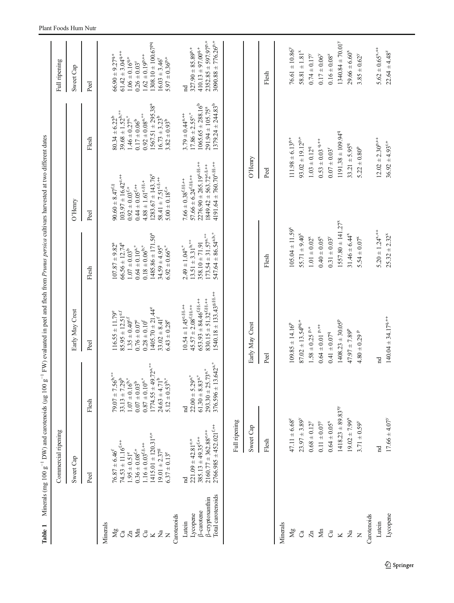<span id="page-2-0"></span>

| Table 1                              | Minerals (mg 100 $g^{-1}$ DW) and carotenoids (µg 100 $g^{-1}$   |                                                                          | FW) evaluated in peel and flesh from Prunus persica cultivars harvested at two different dates |                                                                  |                                                                                             |                                                 |                                                                   |
|--------------------------------------|------------------------------------------------------------------|--------------------------------------------------------------------------|------------------------------------------------------------------------------------------------|------------------------------------------------------------------|---------------------------------------------------------------------------------------------|-------------------------------------------------|-------------------------------------------------------------------|
|                                      | Commercial ripening                                              |                                                                          |                                                                                                |                                                                  |                                                                                             |                                                 | Full ripening                                                     |
|                                      | Sweet Cap                                                        |                                                                          | Early May Crest                                                                                |                                                                  | $O'$ Henry                                                                                  |                                                 | Sweet Cap                                                         |
|                                      | Peel                                                             | Flesh                                                                    | Peel                                                                                           | Flesh                                                            | Peel                                                                                        | Flesh                                           | Peel                                                              |
|                                      |                                                                  |                                                                          |                                                                                                |                                                                  |                                                                                             |                                                 |                                                                   |
| Minerals                             |                                                                  |                                                                          |                                                                                                |                                                                  |                                                                                             |                                                 |                                                                   |
| Mg                                   | $76.87 \pm 6.46^f$                                               | $79.07 \pm 7.56^{\text{b,*}}$                                            | $116.55 \pm 11.79^{\circ}$                                                                     | $107.87 \pm 9.82^a$                                              | $90.60 \pm 8.47^{\text{f},\text{S}}$                                                        | $80.34 \pm 6.22^b$                              | $66.90 \pm 9.27^{q,+}$                                            |
| Ca                                   | $74.53 \pm 11.16^{f,++}$                                         | $33.13 \pm 7.29^b$                                                       | $85.95 \pm 12.51$ <sup>e.f</sup>                                                               | $66.56 \pm 12.74^a$                                              | $103.97 \pm 16.42$ <sup>e,++</sup>                                                          | $39.68 \pm 1.52^{b,**}$                         | $61.42 \pm 3.04$ <sup>q,+++</sup>                                 |
| $\overline{z}$                       | $1.95 \pm 0.51$ °                                                | $1.07 \pm 0.16^{b,*}$                                                    | $1.35\pm0.40^{\mathrm{e,f}}$                                                                   | $1.07\pm0.03^{\mathrm{b}}$                                       | $0.92 \pm 0.03$ <sup>f,+</sup>                                                              | $1.46 \pm 0.27$ <sup>a,*</sup>                  | $1.06 \pm 0.16^{9+}$                                              |
| Mn                                   | $0.36 \pm 0.08^{\rm f, +}$                                       | $0.07\pm0.03^{\rm b}$                                                    | $0.76\pm0.07^{\rm e}$                                                                          | $0.64 \pm 0.10^{\mathrm{a,*}}$                                   | $0.44\pm0.05^{\mathrm{f},++}$                                                               | $0.17\pm0.06^{\mathrm{b}}$                      | $0.26\pm0.03^{\rm r}$                                             |
| $\ddot{\circ}$                       | $1.16 \pm 0.03^{f,8,++}$                                         | $0.87 \pm 0.10^{\rm a,*}$                                                | $0.28\pm0.10^{\rm f}$                                                                          | $0.18 \pm 0.06^{b,*}$                                            | $4.88 \pm 1.61^{\circ.88,+}$                                                                | $0.92 \pm 0.08^{\rm a,*}$                       | $1.62 \pm 0.19^{p,++}$                                            |
| $\overline{\mathbf{K}}$              | $1415.01 \pm 120.31^{\text{e},+}$                                | $1774.55 \pm 49.72$ <sup>**</sup>                                        | $1405.70 \pm 21.44^{\circ}$                                                                    | $1485.86 \pm 171.50^a$                                           | $1283.67 \pm 143.76^{\circ}$                                                                | $1567.51 \pm 295.38^a$                          | $1308.10 \pm 100.67^{pq}$                                         |
| $\vec{z}$<br>$\overline{z}$          | $19.01 \pm 2.37^8$<br>$6.37 \pm 0.13^{\circ}$                    | $5.12 \pm 0.53^{b,*}$<br>$24.63 \pm 4.71^b$                              | $33.02 \pm 8.41^{\rm f}$<br>$6.43 \pm 0.28^{\circ}$                                            | $34.59 \pm 4.95^a$<br>$6.92 \pm 0.66^{\mathrm{a,*}}$             | $58.41 \pm 7.51^{\circ.8++}$<br>$5.00 \pm 0.18^{f, +}$                                      | $16.73 \pm 3.23^b$<br>$3.82 \pm 0.93^{b}$       | $5.97 \pm 0.36^{p,+}$<br>$16.03 \pm 3.46$                         |
| Carotenoids                          |                                                                  |                                                                          |                                                                                                |                                                                  |                                                                                             |                                                 |                                                                   |
| Lutein                               | 'nd                                                              | $_{\rm nd}$                                                              | $10.54 \pm 1.45^{\circ.88\cdots+}$                                                             | $2.49 \pm 1.04$ <sup>a,*</sup>                                   | $7.66 \pm 0.38$ <sup>f, §§, ++</sup>                                                        | $3.79 \pm 0.44$ <sup>a,++</sup>                 | $_{\rm nd}$                                                       |
| Lycopene                             | $221.09 \pm 42.81^{\mathrm{e},+}$                                | $22.00 \pm 5.29^{a,*}$                                                   | $45.57 \pm 2.08$ <sup>f, ss, ++</sup>                                                          | $13.51 \pm 3.31^{b,***}$                                         | $57.66 \pm 6.24$ <sup>f;</sup> \$\$ <sub>3</sub> ,++                                        | $17.86 \pm 2.55^{\circ,*}$                      | $327.90 \pm 85.89^{p,+}$                                          |
| β-carotene                           | $385.13 \pm 49.35^{f,++}$                                        | $61.30 \pm 8.83$ <sup>a,*</sup>                                          | $653.93 \pm 84.46^{f,88.++}$                                                                   | $358.10 \pm 71.91$                                               | $2276.90 \pm 265.19^{\text{e},88,\text{++}}$                                                | $1065.65 \pm 288.16^b$                          | $410.13 \pm 97.00^{q,+}$                                          |
| Total carotenoids<br>ß-cryptoxanthin | $2766.985 \pm 452.021^{f,++}$<br>$2160.77 \pm 362.88^{\circ.++}$ | $376.596 \pm 13.642$ <sup>a,*</sup><br>$293.30 \pm 25.73$ <sup>a,*</sup> | $1540.18 \pm 133.43$ <sup>g, §§, ++</sup><br>$830.15 \pm 51.32^{f,88,++}$                      | $547.64 \pm 86.54$ <sup>a,b,*</sup><br>$173.54 \pm 31.57^{a,**}$ | $4191.64 \pm 760.70^{\text{e},88,\text{++}}$<br>$1849.42 \pm 563.72^{\text{e},\text{s},++}$ | $1379.24 \pm 244.83^b$<br>$291.94 \pm 105.75^a$ | $2352.85 \pm 597.97$ <sup>p,+</sup><br>$3090.88 \pm 776.26^{p,+}$ |
|                                      | Full ripening                                                    |                                                                          |                                                                                                |                                                                  |                                                                                             |                                                 |                                                                   |
|                                      |                                                                  |                                                                          |                                                                                                |                                                                  |                                                                                             |                                                 |                                                                   |
|                                      | Sweet Cap                                                        |                                                                          | Early May Crest                                                                                |                                                                  | O'Henry                                                                                     |                                                 |                                                                   |
|                                      | Flesh                                                            |                                                                          | Peel                                                                                           | Flesh                                                            | Peel                                                                                        |                                                 | Flesh                                                             |
| Minerals                             |                                                                  |                                                                          |                                                                                                |                                                                  |                                                                                             |                                                 |                                                                   |
|                                      |                                                                  |                                                                          |                                                                                                |                                                                  |                                                                                             |                                                 |                                                                   |
| Mg                                   | $47.11 \pm 6.68^{2}$                                             |                                                                          | $109.85 \pm 14.16^P$                                                                           | $105.04 \pm 11.59$ <sup>x</sup>                                  | $111.98 \pm 6.13^{p,+}$                                                                     |                                                 | $76.61 \pm 10.86^{\circ}$                                         |
| ී                                    | $23.97 \pm 3.89^{\circ}$                                         |                                                                          | $87.02 \pm 13.54^{pq,+}$                                                                       | $55.71 \pm 9.40^{\circ}$                                         | $93.02 \pm 19.12^{p,+}$                                                                     |                                                 | $58.81 \pm 1.81^{\text{x}}$                                       |
| $\overline{z}$                       | $0.68 \pm 0.12^{\nu}$                                            |                                                                          | $1.58\pm0.25$ $^{\mathrm{p},+}$                                                                | $1.01 \pm 0.02^{\rm x}$                                          | $1.03 \pm 0.12^9$                                                                           |                                                 | $0.74 \pm 0.17^y$                                                 |
| $\mathbf{M}$ n                       | $0.11 \pm 0.07^y$                                                |                                                                          | $0.64 \pm 0.01$ $^{\rm p,++}$                                                                  | $0.40 \pm 0.05^{\rm x}$                                          | $0.53 \pm 0.03$ 9+                                                                          |                                                 | $0.17 \pm 0.06^{\circ}$                                           |
| $\vec{C}$                            | $0.64\pm0.05^{\rm x}$                                            |                                                                          | $0.41 \pm 0.079$                                                                               | $0.31 \pm 0.03^y$                                                | $0.07\pm0.03^{\rm r}$                                                                       |                                                 | $0.16\pm0.08^{z}$                                                 |
| $\overline{\mathbf{K}}$              | $1418.23 + 89.83^{xy}$                                           |                                                                          | $1408.23 \pm 30.05^p$                                                                          | $1557.80 \pm 141.27^{\circ}$                                     |                                                                                             | $1191.38 \pm 109.949$                           | $1340.84 \pm 70.01^y$                                             |
| $\rm \Xi$                            | $19.02 \pm 7.99$ <sup>x</sup>                                    |                                                                          | $47.97 \pm 7.89^p$                                                                             | $31.46 \pm 6.44^{\circ}$                                         | $33.21 \pm 5.95^{q}$                                                                        |                                                 | $29.66 \pm 6.60^x$                                                |
| $\overline{z}$                       | $3.71 \pm 0.59^{\circ}$                                          |                                                                          | $4.80 \pm 0.29$ P                                                                              | $5.54 \pm 0.07^{\rm x}$                                          | $5.22 \pm 0.80^p$                                                                           |                                                 | $3.85 \pm 0.62^y$                                                 |
| Carotenoids                          |                                                                  |                                                                          |                                                                                                |                                                                  |                                                                                             |                                                 |                                                                   |
| Lutein                               | 'nd                                                              | $_{\rm nd}$                                                              |                                                                                                | $5.20 \pm 1.24^{x,++}$                                           | $12.02 \pm 2.30^{p,++}$                                                                     |                                                 | $5.62 \pm 0.65$ <sup>x,++</sup>                                   |
| Lycopene                             | $17.66 \pm 4.07^{\circ}$                                         |                                                                          | $140.04 \pm 34.17^{q,++}$                                                                      | $25.32 \pm 2.32^x$                                               | $36.92 \pm 4.93^{t,+}$                                                                      |                                                 | $22.64 \pm 4.48$ <sup>z</sup>                                     |
|                                      |                                                                  |                                                                          |                                                                                                |                                                                  |                                                                                             |                                                 |                                                                   |
|                                      |                                                                  |                                                                          |                                                                                                |                                                                  |                                                                                             |                                                 |                                                                   |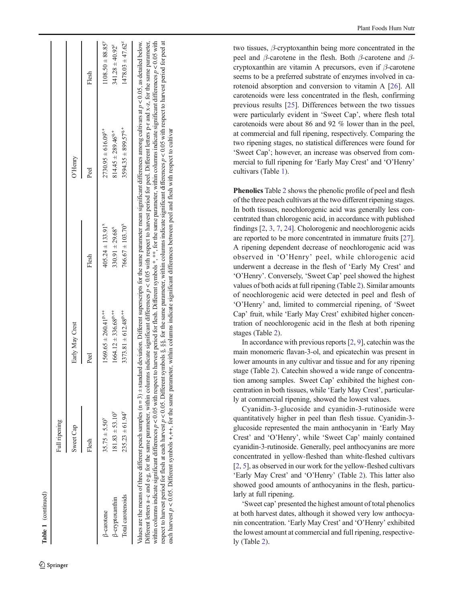| I |
|---|
|   |
|   |
|   |
|   |
|   |
|   |

|                        | Full ripening              |                                   |                       |                            |                       |
|------------------------|----------------------------|-----------------------------------|-----------------------|----------------------------|-----------------------|
|                        | Sweet Cap                  | Early May Crest                   |                       | O'Henry                    |                       |
|                        | Flesh                      | Peel                              | Flesh                 | Peel                       | Flesh                 |
| <b>B-carotene</b>      | $35.75 \pm 5.50^{\circ}$   | $1569.65 \pm 260.41^{p,++}$       | $405.24 \pm 133.91^x$ | $2730.95 \pm 616.09^{t,+}$ | $1108.50 \pm 88.85^y$ |
| <b>B-cryptoxanthin</b> | $181.83 \pm 53.10^9$       | $1664.12 \pm 336.68^{p,++}$       | $330.91 \pm 29.68^x$  | $814.45 \pm 289.46^{9+}$   | $341.28 \pm 40.92^z$  |
| Total carotenoids      | $235.23 \pm 61.94^{\circ}$ | $3373.81 \pm 612.48$ <sup>p</sup> | $766.67 \pm 103.70^8$ | $3594.35 \pm 899.57^{9+}$  | $1478.03 \pm 47.62^z$ |

respect to harvest period for flesh at each harvest p < 0.05. Different symbols §, §§, for the same parameter, within columns indicate significant differences p < 0.05 with respect to harvest period for peel at

respect to harvest period for flesh at each harvest  $p < 0.05$ . Different symbols §, §§, for the same parameter, within columns indicate significant differences  $p < 0.05$  with respect to harvest period for peel at

each harvest  $p < 0.05$ . Different symbols  $+, +,$  for the same parameter, within columns indicate significant differences between peel and flesh with respect to cultivar

each harvest  $p < 0.05$ . Different symbols +,++, for the same parameter, within columns indicate significant differences between peel and flesh with respect to cultivar

two tissues, β-cryptoxanthin being more concentrated in the peel and  $\beta$ -carotene in the flesh. Both  $\beta$ -carotene and  $\beta$ cryptoxanthin are vitamin A precursors, even if  $\beta$ -carotene seems to be a preferred substrate of enzymes involved in carotenoid absorption and conversion to vitamin A [\[26](#page-7-0)]. All carotenoids were less concentrated in the flesh, confirming previous results [[25](#page-7-0)]. Differences between the two tissues were particularly evident in 'Sweet Cap ', where flesh total carotenoids were about 86 and 92 % lower than in the peel, at commercial and full ripening, respectively. Comparing the two ripening stages, no statistical differences were found for 'Sweet Cap'; however, an increase was observed from commercial to full ripening for 'Early May Crest' and 'O'Henry' cultivars (Table [1\)](#page-2-0).

Phenolics Table [2](#page-4-0) shows the phenolic profile of peel and flesh of the three peach cultivars at the two different ripening stages. In both tissues, neochlorogenic acid was generally less concentrated than chlorogenic acid, in accordance with published findings [ [2](#page-6-0) , [3](#page-6-0) , [7](#page-6-0) , [24](#page-7-0)]. Cholorogenic and neochlorogenic acids are reported to be more concentrated in immature fruits [[27\]](#page-7-0). A ripening dependent decrease of neochlorogenic acid was observed in ' O 'Henry ' peel, while chlorogenic acid underwent a decrease in the flesh of 'Early My Crest ' and 'O'Henry'. Conversely, 'Sweet Cap' peel showed the highest values of both acids at full ripening (Table [2\)](#page-4-0). Similar amounts of neochlorogenic acid were detected in peel and flesh of 'O'Henry' and, limited to commercial ripening, of 'Sweet Cap ' fruit, while 'Early May Crest ' exhibited higher concentration of neochlorogenic acid in the flesh at both ripening stages (Table [2](#page-4-0)).

In accordance with previous reports [ [2](#page-6-0) , [9\]](#page-6-0), catechin was the main monomeric flavan-3-ol, and epicatechin was present in lower amounts in any cultivar and tissue and for any ripening stage (Table [2](#page-4-0)). Catechin showed a wide range of concentration among samples. Sweet Cap' exhibited the highest concentration in both tissues, while 'Early May Crest', particularly at commercial ripening, showed the lowest values.

Cyanidin-3-glucoside and cyanidin-3-rutinoside were quantitatively higher in peel than flesh tissue. Cyanidin-3 glucoside represented the main anthocyanin in 'Early May Crest' and 'O'Henry', while 'Sweet Cap' mainly contained cyanidin-3-rutinoside. Generally, peel anthocyanins are more concentrated in yellow-fleshed than white-fleshed cultivars [\[2](#page-6-0), [5](#page-6-0)], as observed in our work for the yellow-fleshed cultivars 'Early May Crest' and 'O'Henry' (Table [2](#page-4-0)). This latter also showed good amounts of anthocyanins in the flesh, particularly at full ripening.

'Sweet cap' presented the highest amount of total phenolics at both harvest dates, although it showed very low anthocyanin concentration. 'Early May Crest' and 'O'Henry' exhibited the lowest amount at commercial and full ripening, respectively (Table [2](#page-4-0)).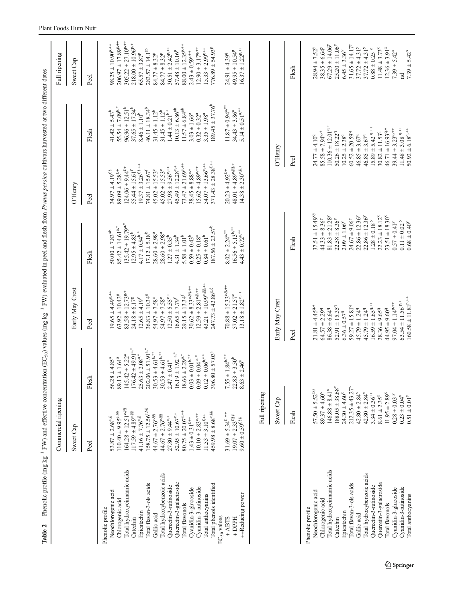| Table 2                                   | Commercial ripening                                                  |                                                     | Phenolic profile (mg kg <sup>-1</sup> FW) and effective concentration (EC <sub>50</sub> ) values (mg kg <sup>-1</sup> FW) evaluated in peel and flesh from <i>Prunus persica</i> cultivars harvested at two different dates |                                                                    |                                                                    |                                                         | Full ripening                                                |
|-------------------------------------------|----------------------------------------------------------------------|-----------------------------------------------------|-----------------------------------------------------------------------------------------------------------------------------------------------------------------------------------------------------------------------------|--------------------------------------------------------------------|--------------------------------------------------------------------|---------------------------------------------------------|--------------------------------------------------------------|
|                                           | Sweet Cap                                                            |                                                     | Early May Crest                                                                                                                                                                                                             |                                                                    | $O'$ Henry                                                         |                                                         | Sweet Cap                                                    |
|                                           | Peel                                                                 | Flesh                                               | Peel                                                                                                                                                                                                                        | Flesh                                                              | Peel                                                               | Flesh                                                   | Peel                                                         |
| Phenolic profile                          |                                                                      |                                                     |                                                                                                                                                                                                                             |                                                                    |                                                                    |                                                         |                                                              |
| Neochlorogenic acid<br>Chlorogenic acid   | $110.40 \pm 9.95^{\circ.88}$<br>$53.87 \pm 2.68^{\text{e},\text{S}}$ | $13 \pm 1.64^a$<br>$56.28 \pm 4.85^a$<br>89.1       | $19.65 \pm 4.49$ <sup>g,++</sup><br>$63.92 \pm 10.43^g$                                                                                                                                                                     | $85.42 \pm 14.61^{\mathrm{a,*}}$<br>$50.00 \pm 7.83$ <sup>ab</sup> | $89.09 \pm 5.28$ <sup>f,+</sup><br>$34.97 \pm 4.19$ <sup>f.8</sup> | $55.54 \pm 7.09^{b,*}$<br>$41.42 \pm 5.43^b$            | $206.97 \pm 17.89^{\text{p},++}$<br>$98.25 \pm 10.90^{p,++}$ |
| Total hydroxycimamic acids                | $164.28 \pm 12.51^{\circ.88}$                                        | $145.42 \pm 5.22^a$                                 | $83.58 \pm 12.73^{8,+}$                                                                                                                                                                                                     | $135.42 \pm 19.79^{a,*}$                                           | $124.06 \pm 9.44$ <sup>f,+</sup>                                   | $96.96 \pm 12.51^b$                                     | $305.22 \pm 27.10^{p,++}$                                    |
| Catechin                                  | $117.59 \pm 4.89^{\circ.88}$                                         | $176.42 \pm 49.91^{a,*}$                            | $24.18 \pm 6.17^8$                                                                                                                                                                                                          | $12.95 \pm 4.83^b$                                                 | $55.44 \pm 15.61$ <sup>f</sup>                                     | $37.65 \pm 17.34^b$                                     | $218.00 \pm 10.96$ <sup>p,+</sup>                            |
| Epicatechin                               | $41.16 \pm 7.76^{\text{e},8}$                                        | $25.63 \pm 2.08$ <sup>a,*</sup>                     | $12.65 \pm 4.19^f$                                                                                                                                                                                                          | $4.17 \pm 0.54^{\rm b,*}$                                          | $19.37 \pm 3.26^{5.8++}$                                           | $8.46 \pm 1.10^{b}$                                     | $65.57 \pm 3.87^p$                                           |
| Total flavan-3-ols acids                  | $158.75 \pm 12.56^{\circ.88}$<br>$44.67 \pm 2.76^{\circ}$ . 88       | $202.06 \pm 51.91^{a,*}$<br>$30.53 \pm 4.61^{b,**}$ | $36.83 \pm 10.34^8$<br>$54.97 \pm 7.58$ <sup>e</sup>                                                                                                                                                                        | $17.12 \pm 5.18^b$                                                 | $74.81 \pm 15.67^{\rm f}$<br>$45.02 \pm 15.53^{\circ}$             | $46.11 \pm 18.34^b$<br>$31.45 \pm 1.12^b$               | $283.57 \pm 14.1^{\circ}$<br>$84.77 \pm 8.32^p$              |
| Total hydroxybenzoic acids<br>Gallic acid | $44.67 \pm 2.76^{\circ}$ .88                                         | $30.53 \pm 4.61^{b,**}$                             | $54.97 \pm 7.58^e$                                                                                                                                                                                                          | $28.60 \pm 2.98$ <sup>a</sup><br>$28.60 \pm 2.98^a$                | $45.02 \pm 15.53^{\circ}$                                          | $31.45 \pm 1.12^{b}$                                    | $84.77 \pm 8.32^p$                                           |
| Quercetin-3-rutinoside                    | $27.80 \pm 9.44^{\circ,+}$                                           | $2.47 \pm 0.41^a$                                   | $12.50 \pm 5.55$ <sup>e,+</sup>                                                                                                                                                                                             | $1.27 \pm 0.35^{b}$                                                | $27.98 \pm 9.56^{\circ,++}$                                        | $1.44 \pm 0.21^{b,*}$                                   | $30.51 \pm 2.42^{p,++}$                                      |
| Quercetin-3-galactoside                   | $52.95 \pm 10.67^{\text{c},+}$                                       | $16.19 \pm 1.92^{\text{ a},*}$                      | $16.65 \pm 7.79^{\rm f}$                                                                                                                                                                                                    | $4.31 \pm 1.34^b$                                                  | $45.49 \pm 12.28$ <sup>e,+</sup>                                   | $10.13 \pm 6.86^{ab}$                                   | $57.48 \pm 10.16^p$                                          |
| Total flavonols                           | $80.75 \pm 20.07^{\circ,++}$                                         | $18.66 \pm 2.29^{a,*}$                              | $29.15 \pm 13.34$ <sup>f</sup>                                                                                                                                                                                              | $5.58\pm1.01^{\mathrm{b}}$                                         | $73.47 \pm 21.69^{\circ,++}$                                       | $11.57 \pm 6.84^{ab}$                                   | $88.00 \pm 12.35^{p,++}$                                     |
| Cyanidin-3-glucoside                      | $1.43 \pm 0.31$ <sup>f,++</sup>                                      | $3 \pm 0.01$ <sup>b,**</sup><br>0.03                | $30.62 \pm 8.33^{\text{e},88,++}$                                                                                                                                                                                           | $0.59\pm0.43^{\mathrm{b}}$                                         | $38.45 \pm 8.88$ e.+                                               | $3.03 \pm 1.66^a$                                       | $2.43 \pm 0.59$ <sup>r,++</sup>                              |
| Cyanidin-3-rutinoside                     | $10.10 \pm 2.83^{\circ,++}$                                          | $0.09\pm0.04$ a*                                    | $12.59 \pm 2.81^{\circ.8,++}$                                                                                                                                                                                               | $0.25\pm0.18^{\mathrm{a}}$                                         | $15.62 \pm 4.89^{\circ,++}$                                        | $0.32 \pm 0.32^a$                                       | $12.90 \pm 3.17^{9++}$                                       |
| Total anthocyanins                        | $11.53 \pm 3.10^{f,++}$                                              | $0.12 \pm 0.06$ <sup>b,**</sup>                     | $43.21 \pm 10.99^{\circ.88,++}$                                                                                                                                                                                             | $0.84\pm0.61^{\mathrm{b}}$                                         | $54.07 \pm 13.66$ <sup>e,++</sup>                                  | $3.35 \pm 1.98^{a}$                                     | $15.33 \pm 2.99^{r,++}$                                      |
| Total phenols identified                  | $459.98 \pm 8.68$ <sup>e, §§</sup>                                   | $396.80 \pm 57.03^a$                                | $247.73 \pm 42.86$ <sup>g,§</sup>                                                                                                                                                                                           | $187.56 \pm 23.57^b$                                               | $371.43 \pm 28.38$ <sup>f,++</sup>                                 | $189.45 \pm 37.76^b$                                    | $776.89 \pm 54.93^p$                                         |
| EC <sub>50</sub> values<br>$+ AHTS$       | $31.69 \pm 5.34^{\text{f}}$                                          | $7.55 \pm 1.84^{\rm b,**}$                          | $70.88 \pm 15.33$ <sup>e,8,++</sup>                                                                                                                                                                                         | $8.02 \pm 2.24$ <sup>2,**</sup>                                    | $20.23 \pm 4.92^{f,+}$                                             | $11.87 \pm 0.94$ <sup>a,**</sup>                        | $24.91 \pm 4.39$ <sup>q</sup>                                |
| $+$ DPPH                                  | $19.07 \pm 2.33^{\text{f,}88}$                                       | $22.83 \pm 3.50^b$                                  | $57.02 \pm 21.57^{\circ}$                                                                                                                                                                                                   | $16.56 \pm 5.13^{b,**}$                                            | $48.01 \pm 4.89^{\circ.88,+}$                                      | $34.43 \pm 3.86^a$                                      | $49.95 \pm 10.54^{p}$                                        |
| ++Reducing power                          | $9.60\pm0.59^{\text{f},88}$                                          | $4 \pm 2.46^a$<br>8.63                              | $13.18 \pm 1.82^{\circ.++}$                                                                                                                                                                                                 | $4.43 \pm 0.72$ <sup>**</sup>                                      | $14.38 \pm 2.30^{\circ.8,+}$                                       | $5.14 \pm 0.51^{a,*}$                                   | $16.37 \pm 1.22^{p,++}$                                      |
|                                           | Full ripening                                                        |                                                     |                                                                                                                                                                                                                             |                                                                    |                                                                    |                                                         |                                                              |
|                                           |                                                                      |                                                     |                                                                                                                                                                                                                             |                                                                    |                                                                    |                                                         |                                                              |
|                                           | Sweet Cap                                                            |                                                     | Early May Crest                                                                                                                                                                                                             |                                                                    | O'Henry                                                            |                                                         |                                                              |
|                                           | Flesh                                                                |                                                     | Peel                                                                                                                                                                                                                        | Flesh                                                              | Peel                                                               |                                                         | Flesh                                                        |
| Phenolic profile                          | $57.50 \pm 5.52^{(x)}$                                               |                                                     | $21.81 \pm 4.45$ <sup>q,+</sup>                                                                                                                                                                                             | $37.51 \pm 15.49^{xy}$                                             |                                                                    | $24.77 \pm 4.10^{9}$                                    |                                                              |
| Neochlorogenic acid                       |                                                                      |                                                     |                                                                                                                                                                                                                             |                                                                    |                                                                    |                                                         | $28.94 \pm 7.52^y$                                           |
| Chlorogenic acid                          | $89.37 \pm 4.60^8$                                                   |                                                     | $64.57 \pm 2.299$                                                                                                                                                                                                           | $44.33 \pm 8.36^y$                                                 |                                                                    | $85.58 \pm 7.949+$                                      | $38.35 \pm 6.64^y$                                           |
| Total hydroxycimamic acids<br>Catechin    | $188.05 \pm 38.68$ <sup>x</sup><br>$146.88 \pm 8.41^{\circ}$         |                                                     | $52.91 \pm 15.35^{q}$<br>$86.38 \pm 6.64$ <sup>q</sup>                                                                                                                                                                      | $81.83 \pm 21.28$ <sup>y</sup><br>$22.58 \pm 8.36^y$               |                                                                    | $110.36 \pm 12.01$ <sup>4+</sup><br>$50.26 \pm 18.22^q$ | $67.29 \pm 14.06^{\circ}$<br>$25.20 \pm 11.06^{\circ}$       |
| Epicatechin                               | $24.30 \pm 4.60^8$                                                   |                                                     | $6.36 \pm 0.579$                                                                                                                                                                                                            | $2.09\pm1.06^{\prime}$                                             |                                                                    | $10.25 \pm 2.38^q$                                      | $6.45 \pm 3.36^{\circ}$                                      |
| Total flavan-3-ols acids                  | $212.35 \pm 43.27^8$                                                 |                                                     | $59.27 \pm 15.81$ <sup>q</sup>                                                                                                                                                                                              | $24.67 \pm 9.06^y$                                                 |                                                                    | $60.52 \pm 20.59^q$                                     | $31.65 \pm 14.17^{\circ}$                                    |
| Gallic acid                               | $42.80 \pm 2.84^x$                                                   |                                                     | $45.79 \pm 1.249$                                                                                                                                                                                                           | $22.86 \pm 12.36^{\circ}$                                          |                                                                    | $46.85 \pm 3.679$                                       | $37.72 \pm 4.31^y$                                           |
| Total hydroxybenzoic acids                | $42.80 \pm 2.84^x$                                                   |                                                     | $45.79 \pm 1.249$                                                                                                                                                                                                           | $22.86 \pm 12.36^{\circ}$                                          |                                                                    | $46.85 \pm 3.67^q$                                      | $37.72 \pm 4.31^y$                                           |
| Quercetin-3-rutinoside                    | $3.34 \pm 0.36^{++}$                                                 |                                                     | $16.59 \pm 1.65^{q,++}$                                                                                                                                                                                                     | $1.28\pm0.18$<br>$^{\circ}$                                        |                                                                    | $15.89 \pm 5.42$ <sup>9+++</sup>                        | $0.88\pm0.25$ $^{z}$                                         |
| Quercetin-3-galactoside                   | $8.61 \pm 2.35^{\circ}$                                              |                                                     | $28.36 \pm 9.65^q$                                                                                                                                                                                                          | $22.23 \pm 18.12^{\circ}$                                          |                                                                    | $30.82 \pm 11.53^{q}$                                   | $11.48 \pm 3.73$ <sup>x</sup>                                |
| Cyanidin-3-glucoside<br>Total flavonols   | $11.95 \pm 2.89$ <sup>x</sup><br>$0.28 \pm 0.03$ <sup>y</sup>        |                                                     | $97.04 \pm 1.14^{p,++}$<br>$44.95 \pm 9.60^{q}$                                                                                                                                                                             | $23.51 \pm 18.30^8$<br>$0.57 \pm 0.41^y$                           |                                                                    | $46.71 \pm 16.93^{q,+}$<br>$39.44 \pm 3.23^{q,++}$      | $12.36 \pm 3.91^x$<br>$7.39 \pm 5.42^{\text{x}}$             |
| Cyanidin-3-rutinoside                     | $0.23 \pm 0.04^{\rm x}$                                              |                                                     | $63.54 \pm 11.56$ P <sup>+</sup>                                                                                                                                                                                            | $0.11\pm0.02$ $^{\circ}$                                           |                                                                    | $11.48 \pm 3.08$ <sup>q,++</sup>                        | 'n,                                                          |
| Total anthocyanins                        | $0.51 \pm 0.01^{y}$                                                  |                                                     | $160.58 \pm 11.81^{p,++}$                                                                                                                                                                                                   | $0.68\pm0.40^\circ$                                                |                                                                    | $50.92 \pm 6.18^{q,++}$                                 | $7.39 \pm 5.42^x$                                            |

#### <span id="page-4-0"></span>Plant Foods Hum Nutr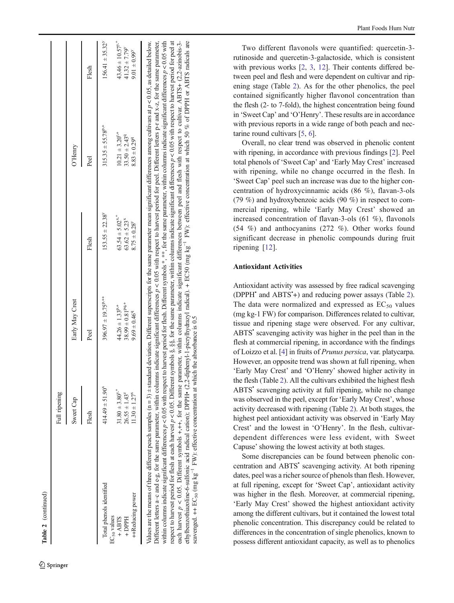|                                     | Full ripening                   |                           |                                 |                                   |                                  |
|-------------------------------------|---------------------------------|---------------------------|---------------------------------|-----------------------------------|----------------------------------|
|                                     | Sweet Cap                       | Early May Crest           |                                 | O'Henry                           |                                  |
|                                     | Flesh                           | Peel                      | Flesh                           | Ped                               | Flesh                            |
| Total phenols identified            | $414.49 \pm 51.90^8$            | $396.97 \pm 19.75^{p,++}$ | $153.55 \pm 22.38^{\circ}$      | $315.35 \pm 55.78$ <sup>p,+</sup> | $156.41 \pm 35.32^{\circ}$       |
| EC <sub>50</sub> values<br>$+ AHTS$ | $31.80 \pm 3.80$ <sup>y,*</sup> | $44.26 \pm 1.33^{p,*}$    | $63.54 \pm 5.02$ <sup>x,*</sup> | $10.21 \pm 3.20$ <sup>r+</sup>    | $43.46 \pm 10.57$ <sup>y."</sup> |
| + DPPH                              | $26.55 \pm 1.43^z$              | $38.99 \pm 0.81^{pq,+}$   | $63.62 \pm 5.23$ <sup>x</sup>   | $33.50 \pm 2.43$ <sup>q</sup>     | $41.32 \pm 7.79^{\circ}$         |
| ++Reducing power                    | $11.30 \pm 1.27$ <sup>x</sup>   | $9.69 \pm 0.46^{9}$       | $8.75 \pm 0.28$ <sup>y</sup>    | $8.83 \pm 0.299$ <sup>q</sup>     | $9.01 \pm 0.99^{\circ}$          |

within columns indicate significant differences  $p < 0.05$  with respect to harvest period for flesh. Different symbols \*, \*\*, for the same parameter, within columns indicate significant differences  $p < 0.05$  with respect to harvest period for flesh at each harvest p < 0.05. Different symbols §, §§, for the same parameter, within columns indicate significant differences p < 0.05 with respect to harvest period for peel at each harvest  $p < 0.05$ . Different symbols +,++, for the same parameter, within columns indicate significant differences between peel and flesh with respect to cultivar. ABTS+ (2,2-azinobis-3ethylbenzothiazoline-6-sulfonic acid radical cation); DPPH• (2,2-diphenyl-1-picrylhydrazyl radical). + EC50 (mg kg−1 FW): effective concentration at which 50 % of DPPH or ABTS radicals are

respect to harvest period for flesh at each harvest  $p < 0.05$ . Different symbols §, §§, for the same parameter, within columns indicate significant differences  $p < 0.05$  with respect to harvest period for peel at each harvest  $p < 0.05$ . Different symbols  $+$ , $+$ , for the same parameter, within columns indicate significant differences between peel and flesh with respect to cultivar. ABTS+ (2,2-azinobis-3-

radical). + EC50 (mg  $kg^{-1}$  FW): effective concentration at which 50 % of DPPH or ABTS radicals are

scavenged.  $\leftrightarrow$  EC<sub>50</sub> (mg kg<sup>-1</sup> FW): effective concentration at which the absorbance is 0.5

ethylbenzothiazoline-6-sulfonic acid

cavenged.  $\leftrightarrow$  EC<sub>50</sub> (mg kg<sup>-1</sup> FW): effective concentration at which the absorbance is 0.5

radical cation); DPPH. (2,2-diphenyl-1-picrylhydrazyl

 $\hat{Z}$  Springer

Two different flavonols were quantified: quercetin-3 rutinoside and quercetin-3-galactoside, which is consistent with previous works [[2](#page-6-0), [3](#page-6-0), [12](#page-6-0)]. Their contents differed between peel and flesh and were dependent on cultivar and ripening stage (Table [2](#page-4-0)). As for the other phenolics, the peel contained significantly higher flavonol concentration than the flesh (2- to 7-fold), the highest concentration being found in 'Sweet Cap ' and ' O 'Henry '. These results are in accordance with previous reports in a wide range of both peach and nectarine round cultivars [[5,](#page-6-0) [6\]](#page-6-0).

Overall, no clear trend was observed in phenolic content with ripening, in accordance with previous findings [ [2](#page-6-0)]. Peel total phenols of 'Sweet Cap' and 'Early May Crest' increased with ripening, while no change occurred in the flesh. In 'Sweet Cap' peel such an increase was due to the higher concentration of hydroxycinnamic acids (86 %), flavan-3-ols (79 %) and hydroxybenzoic acids (90 %) in respect to commercial ripening, while 'Early May Crest' showed an increased concentration of flavan-3-ols (61 %), flavonols (54 %) and anthocyanins (272 %). Other works found significant decrease in phenolic compounds during fruit ripening [[12\]](#page-6-0).

# Antioxidant Activities

Antioxidant activity was assessed by free radical scavenging (DPPH<sup>\*</sup> and ABTS<sup>\*+</sup>) and reducing power assays (Table [2\)](#page-4-0). The data were normalized and expressed as  $EC_{50}$  values (mg kg-1 FW) for comparison. Differences related to cultivar, tissue and ripening stage were observed. For any cultivar, ABTS' scavenging activity was higher in the peel than in the flesh at commercial ripening, in accordance with the findings of Loizzo et al. [[4](#page-6-0)] in fruits of Prunus persica, var. platycarpa. However, an opposite trend was shown at full ripening, when 'Early May Crest' and 'O'Henry' showed higher activity in the flesh (Table [2](#page-4-0)). All the cultivars exhibited the highest flesh ABTS' scavenging activity at full ripening, while no change was observed in the peel, except for 'Early May Crest ', whose activity decreased with ripening (Table [2](#page-4-0)). At both stages, the highest peel antioxidant activity was observed in 'Early May Crest ' and the lowest in ' O 'Henry '. In the flesh, cultivardependent differences were less evident, with Sweet Capuse ' showing the lowest activity at both stages.

Some discrepancies can be found between phenolic concentration and ABTS• scavenging activity. At both ripening dates, peel was a richer source of phenols than flesh. However, at full ripening, except for 'Sweet Cap ', antioxidant activity was higher in the flesh. Moreover, at commercial ripening, 'Early May Crest' showed the highest antioxidant activity among the different cultivars, but it contained the lowest total phenolic concentration. This discrepancy could be related to differences in the concentration of single phenolics, known to possess different antioxidant capacity, as well as to phenolics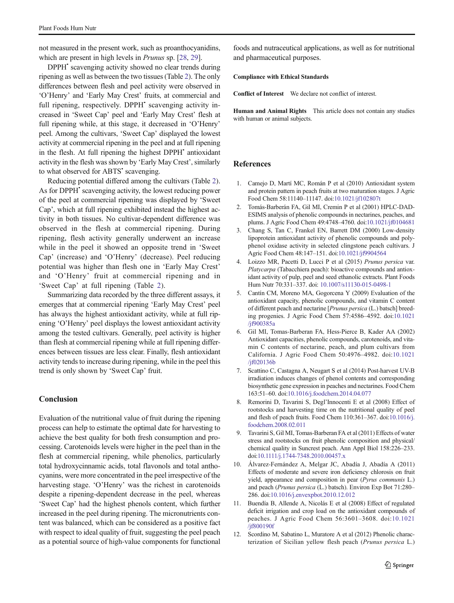<span id="page-6-0"></span>not measured in the present work, such as proanthocyanidins, which are present in high levels in *Prunus* sp. [\[28](#page-7-0), [29\]](#page-7-0).

DPPH<sup>•</sup> scavenging activity showed no clear trends during ripening as well as between the two tissues (Table [2](#page-4-0)). The only differences between flesh and peel activity were observed in 'O'Henry' and 'Early May Crest' fruits, at commercial and full ripening, respectively. DPPH<sup>•</sup> scavenging activity increased in 'Sweet Cap' peel and 'Early May Crest' flesh at full ripening while, at this stage, it decreased in 'O'Henry' peel. Among the cultivars, 'Sweet Cap' displayed the lowest activity at commercial ripening in the peel and at full ripening in the flesh. At full ripening the highest DPPH<sup>•</sup> antioxidant activity in the flesh was shown by 'Early May Crest', similarly to what observed for ABTS<sup>•</sup> scavenging.

Reducing potential differed among the cultivars (Table [2\)](#page-4-0). As for DPPH<sup>•</sup> scavenging activity, the lowest reducing power of the peel at commercial ripening was displayed by 'Sweet Cap', which at full ripening exhibited instead the highest activity in both tissues. No cultivar-dependent difference was observed in the flesh at commercial ripening. During ripening, flesh activity generally underwent an increase while in the peel it showed an opposite trend in 'Sweet Cap' (increase) and 'O'Henry' (decrease). Peel reducing potential was higher than flesh one in 'Early May Crest' and 'O'Henry' fruit at commercial ripening and in 'Sweet Cap' at full ripening (Table [2](#page-4-0)).

Summarizing data recorded by the three different assays, it emerges that at commercial ripening 'Early May Crest' peel has always the highest antioxidant activity, while at full ripening 'O'Henry' peel displays the lowest antioxidant activity among the tested cultivars. Generally, peel activity is higher than flesh at commercial ripening while at full ripening differences between tissues are less clear. Finally, flesh antioxidant activity tends to increase during ripening, while in the peel this trend is only shown by 'Sweet Cap' fruit.

# **Conclusion**

Evaluation of the nutritional value of fruit during the ripening process can help to estimate the optimal date for harvesting to achieve the best quality for both fresh consumption and processing. Carotenoids levels were higher in the peel than in the flesh at commercial ripening, while phenolics, particularly total hydroxycinnamic acids, total flavonols and total anthocyanins, were more concentrated in the peel irrespective of the harvesting stage. 'O'Henry' was the richest in carotenoids despite a ripening-dependent decrease in the peel, whereas 'Sweet Cap' had the highest phenols content, which further increased in the peel during ripening. The micronutrients content was balanced, which can be considered as a positive fact with respect to ideal quality of fruit, suggesting the peel peach as a potential source of high-value components for functional

foods and nutraceutical applications, as well as for nutritional and pharmaceutical purposes.

#### Compliance with Ethical Standards

Conflict of Interest We declare not conflict of interest.

Human and Animal Rights This article does not contain any studies with human or animal subjects.

# **References**

- 1. Camejo D, Martí MC, Román P et al (2010) Antioxidant system and protein pattern in peach fruits at two maturation stages. J Agric Food Chem 58:11140–11147. doi[:10.1021/jf102807t](http://dx.doi.org/10.1021/jf102807t)
- 2. Tomás-Barberán FA, Gil MI, Cremin P et al (2001) HPLC-DAD-ESIMS analysis of phenolic compounds in nectarines, peaches, and plums. J Agric Food Chem 49:4748–4760. doi[:10.1021/jf0104681](http://dx.doi.org/10.1021/jf0104681)
- 3. Chang S, Tan C, Frankel EN, Barrett DM (2000) Low-density lipoprotein antioxidant activity of phenolic compounds and polyphenol oxidase activity in selected clingstone peach cultivars. J Agric Food Chem 48:147–151. doi[:10.1021/jf9904564](http://dx.doi.org/10.1021/jf9904564)
- 4. Loizzo MR, Pacetti D, Lucci P et al (2015) Prunus persica var. Platycarpa (Tabacchiera peach): bioactive compounds and antioxidant activity of pulp, peel and seed ethanolic extracts. Plant Foods Hum Nutr 70:331–337. doi: [10.1007/s11130-015-0498-1](http://dx.doi.org/10.1007/s11130-015-0498-1)
- 5. Cantín CM, Moreno MA, Gogorcena Y (2009) Evaluation of the antioxidant capacity, phenolic compounds, and vitamin C content of different peach and nectarine [Prunus persica (L.) batsch] breeding progenies. J Agric Food Chem 57:4586–4592. doi:[10.1021](http://dx.doi.org/10.1021/jf900385a) [/jf900385a](http://dx.doi.org/10.1021/jf900385a)
- 6. Gil MI, Tomas-Barberan FA, Hess-Pierce B, Kader AA (2002) Antioxidant capacities, phenolic compounds, carotenoids, and vitamin C contents of nectarine, peach, and plum cultivars from California. J Agric Food Chem 50:4976–4982. doi[:10.1021](http://dx.doi.org/10.1021/jf020136b) [/jf020136b](http://dx.doi.org/10.1021/jf020136b)
- 7. Scattino C, Castagna A, Neugart S et al (2014) Post-harvest UV-B irradiation induces changes of phenol contents and corresponding biosynthetic gene expression in peaches and nectarines. Food Chem 163:51–60. doi:[10.1016/j.foodchem.2014.04.077](http://dx.doi.org/10.1016/j.foodchem.2014.04.077)
- 8. Remorini D, Tavarini S, Degl'Innocenti E et al (2008) Effect of rootstocks and harvesting time on the nutritional quality of peel and flesh of peach fruits. Food Chem 110:361–367. doi[:10.1016/j.](http://dx.doi.org/10.1016/j.foodchem.2008.02.011) [foodchem.2008.02.011](http://dx.doi.org/10.1016/j.foodchem.2008.02.011)
- 9. Tavarini S, Gil MI, Tomas-Barberan FA et al (2011) Effects of water stress and rootstocks on fruit phenolic composition and physical/ chemical quality in Suncrest peach. Ann Appl Biol 158:226–233. doi[:10.1111/j.1744-7348.2010.00457.x](http://dx.doi.org/10.1111/j.1744-7348.2010.00457.x)
- 10. Álvarez-Fernández A, Melgar JC, Abadía J, Abadía A (2011) Effects of moderate and severe iron deficiency chlorosis on fruit yield, appearance and composition in pear (Pyrus communis L.) and peach (Prunus persica (L.) batsch). Environ Exp Bot 71:280– 286. doi[:10.1016/j.envexpbot.2010.12.012](http://dx.doi.org/10.1016/j.envexpbot.2010.12.012)
- 11. Buendía B, Allende A, Nicolás E et al (2008) Effect of regulated deficit irrigation and crop load on the antioxidant compounds of peaches. J Agric Food Chem 56:3601–3608. doi[:10.1021](http://dx.doi.org/10.1021/jf800190f) [/jf800190f](http://dx.doi.org/10.1021/jf800190f)
- 12. Scordino M, Sabatino L, Muratore A et al (2012) Phenolic characterization of Sicilian yellow flesh peach (Prunus persica L.)